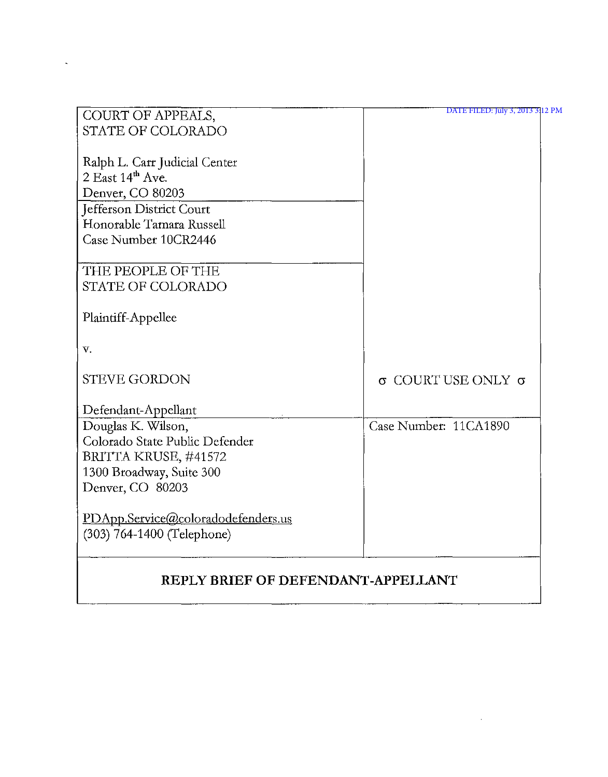| COURT OF APPEALS,                  | DATE FILED: July 3, 2013 3 12 PM |
|------------------------------------|----------------------------------|
| <b>STATE OF COLORADO</b>           |                                  |
|                                    |                                  |
| Ralph L. Carr Judicial Center      |                                  |
| $2$ East $14th$ Ave.               |                                  |
| Denver, CO 80203                   |                                  |
| Jefferson District Court           |                                  |
| Honorable Tamara Russell           |                                  |
| Case Number 10CR2446               |                                  |
|                                    |                                  |
| THE PEOPLE OF THE                  |                                  |
| STATE OF COLORADO                  |                                  |
|                                    |                                  |
| Plaintiff-Appellee                 |                                  |
|                                    |                                  |
| V.                                 |                                  |
| <b>STEVE GORDON</b>                | $σ$ COURT USE ONLY $σ$           |
|                                    |                                  |
| Defendant-Appellant                |                                  |
| Douglas K. Wilson,                 | Case Number: 11CA1890            |
| Colorado State Public Defender     |                                  |
| BRITTA KRUSE, #41572               |                                  |
| 1300 Broadway, Suite 300           |                                  |
| Denver, CO 80203                   |                                  |
|                                    |                                  |
| PDApp.Service@coloradodefenders.us |                                  |
| (303) 764-1400 (Telephone)         |                                  |
|                                    |                                  |
|                                    |                                  |

# **REPLY BRIEF OF DEFENDANT-APPELLANT**

 $\sim$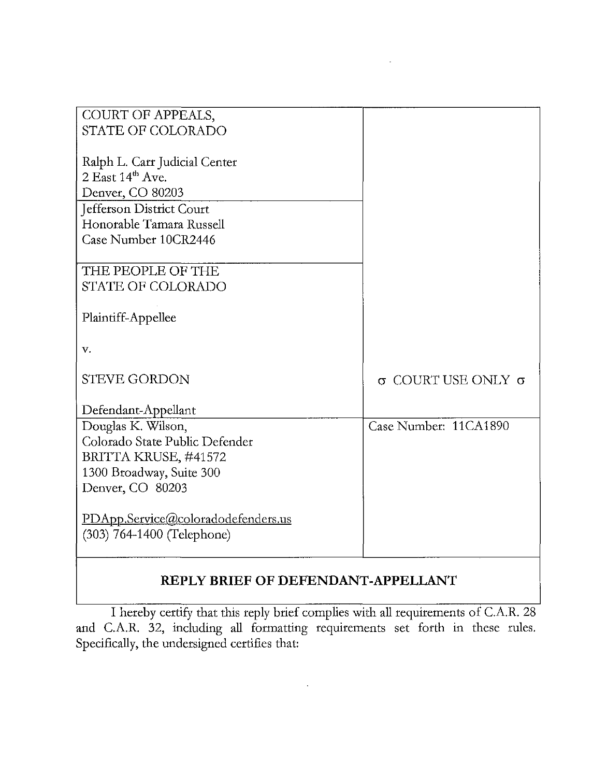| COURT OF APPEALS,                  |                        |
|------------------------------------|------------------------|
| STATE OF COLORADO                  |                        |
|                                    |                        |
| Ralph L. Carr Judicial Center      |                        |
| 2 East 14th Ave.                   |                        |
| Denver, CO 80203                   |                        |
| Jefferson District Court           |                        |
| Honorable Tamara Russell           |                        |
| Case Number 10CR2446               |                        |
|                                    |                        |
| THE PEOPLE OF THE                  |                        |
| <b>STATE OF COLORADO</b>           |                        |
|                                    |                        |
| Plaintiff-Appellee                 |                        |
|                                    |                        |
| V.                                 |                        |
|                                    |                        |
| <b>STEVE GORDON</b>                | $σ$ COURT USE ONLY $σ$ |
|                                    |                        |
| Defendant-Appellant                |                        |
| Douglas K. Wilson,                 | Case Number: 11CA1890  |
| Colorado State Public Defender     |                        |
| BRITTA KRUSE, #41572               |                        |
| 1300 Broadway, Suite 300           |                        |
| Denver, CO 80203                   |                        |
|                                    |                        |
| PDApp.Service@coloradodefenders.us |                        |
| (303) 764-1400 (Telephone)         |                        |
|                                    |                        |

## **REPLY BRIEF OF DEFENDANT-APPELLANT**

I hereby certify that this reply brief complies with all requirements of C.A.R. 28 and CA.R. 32, including all formatting requirements set forth in these rules. Specifically, the undersigned certifies that: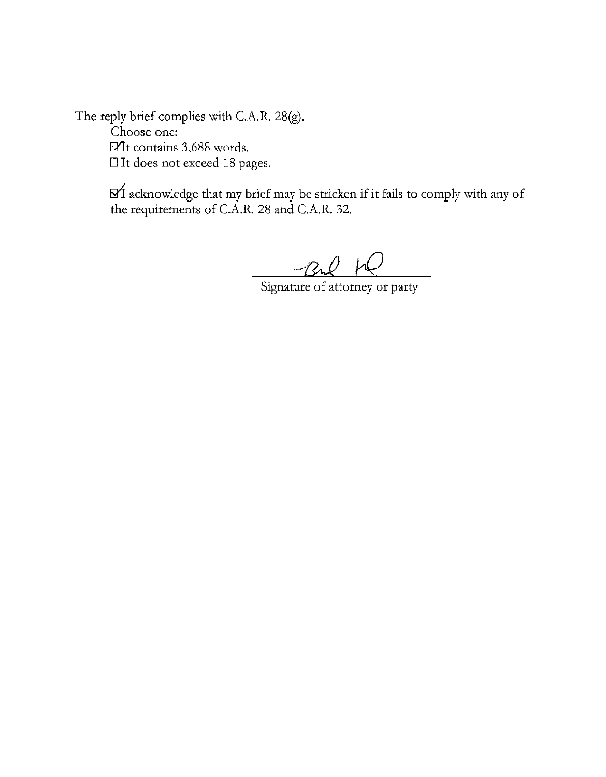The reply brief complies with C.A.R. 28(g). Choose one: Mt contains 3,688 words.  $\Box$  It does not exceed 18 pages.

> $\mathbb{R}^d$  acknowledge that my brief may be stricken if it fails to comply with any of the requirements of c.A.R. 28 and c.A.R. 32.

-Bul W Signature of attorney or party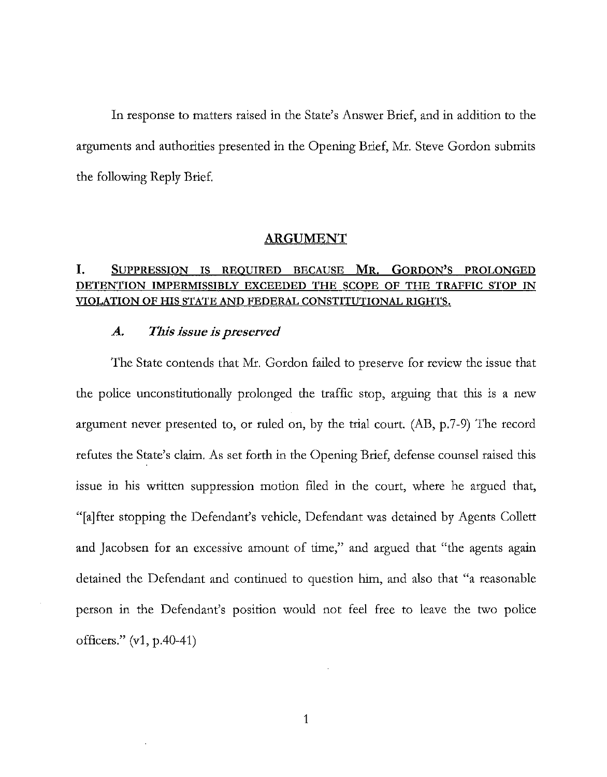In response to matters raised in the State's Answer Brief, and in addition to the arguments and authorities presented in the Opening Brief, Mr. Steve Gordon submits the following Reply Brief.

#### ARGUMENT

### I. SUPPRESSION IS REQUIRED BECAUSE MR. GORDON'S PROLONGED DETENTION IMPERMISSIBLY EXCEEDED THE SCOPE OF THE TRAFFIC STOP IN VIOLATION OF HIS STATE AND FEDERAL CONSTITUTIONAL RIGHTS.

#### *A. This isslle is preserved*

The State contends that Mr. Gordon failed to preserve for review the issue that the police unconstitutionally prolonged the traffic stop, arguing that this is a new argument never presented to, or ruled on, by the trial court. (AB, p.7-9) The record refutes the State's claim. As set forth in the Opening Brief, defense counsel raised this issue in his written suppression motion filed in the court, where he argued that, "[a]fter stopping the Defendant's vehicle, Defendant was detained by Agents Collett and Jacobsen for an excessive amount of time," and argued that "the agents again detained the Defendant and continued to question him, and also that "a reasonable person in the Defendant's position would not feel free to leave the two police officers." (v1, p.40-41)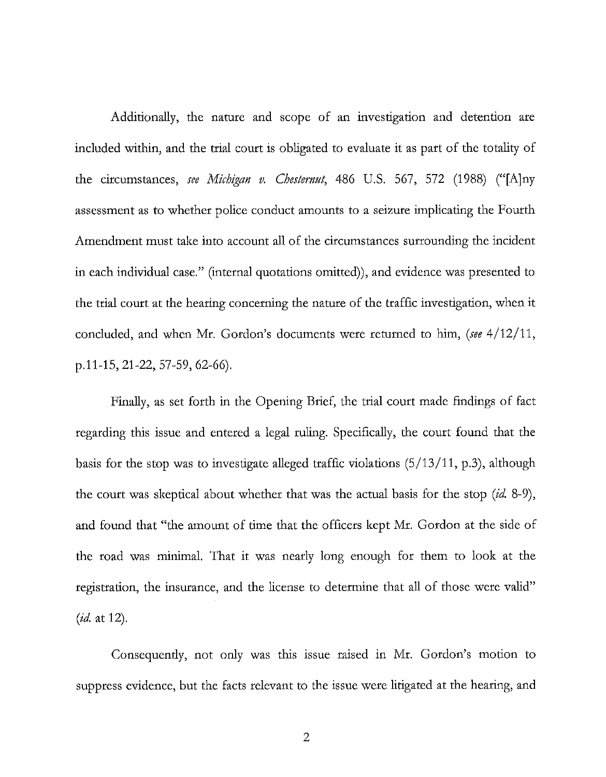Additionally, the nature and scope of an investigation and detention are included within, and the trial court is obligated to evaluate it as part of the totality of the circumstances, *see Michigan v. Chesternut,* 486 U.S. 567, 572 (1988) ("[A]ny assessment as to whether police conduct amounts to a seizure implicating the Fourth Amendment must take into account all of the circumstances surrounding the incident in each individual case." (internal quotations omitted)), and evidence was presented to the trial court at the hearing concerning the nature of the traffic investigation, when it concluded, and when Mr. Gordon's documents were returned to him, *(see 4/12/11,*  p.11-15, 21-22, 57-59, 62-66).

Finally, as set forth in the Opening Brief, the trial court made findings of fact regarding this issue and entered a legal ruling. Specifically, the court found that the basis for the stop was to investigate alleged traffic violations  $(5/13/11, p.3)$ , although the court was skeptical about whether that was the actual basis for the stop (id. 8-9), and found that "the amount of time that the officers kept Mr. Gordon at the side of the road was minimaL That it was nearly long enough for them to look at the registration, the insurance, and the license to determine that all of those were valid" *(id.* at 12).

Consequendy, not only was this issue raised in Mr. Gordon's motion to suppress evidence, but the facts relevant to the issue were litigated at the hearing, and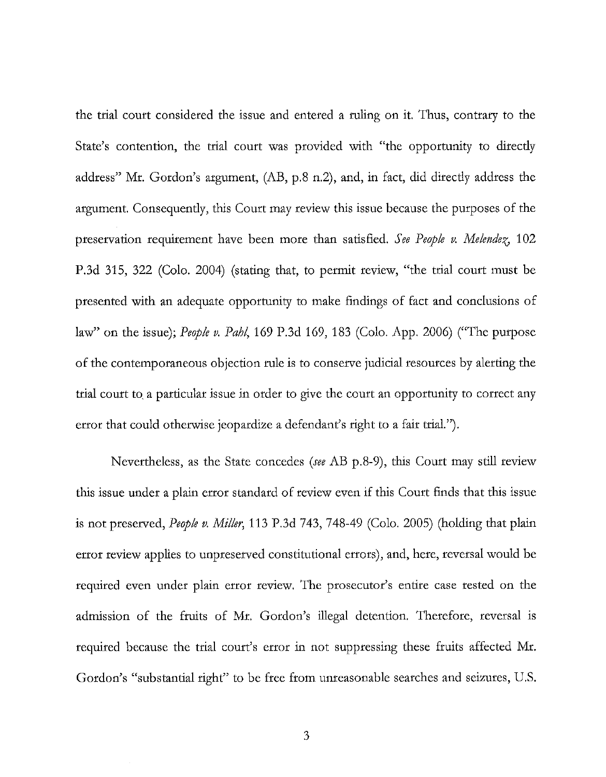the trial court considered the issue and entered a ruling on it. Thus, contrary to the State's contention, the trial court was provided with "the opportunity to direcdy address" Mr. Gordon's argument, (AB, p.8 n.2), and, in fact, did direcdy address the argument. Consequendy, this Court may review this issue because the purposes of the preservation requirement have been more than satisfied. *See People v. Melendez*, 102 P.3d 315, 322 (Colo. 2004) (stating that, to permit review, "the trial court must be presented with an adequate opportunity to make findings of fact and conclusions of law" on the issue); *People v. PaM,* 169 P.3d 169, 183 (Colo. App. 2006) ("The purpose of the contemporaneous objection rule is to conserve judicial resources by alerting the trial court to, a particular issue in order to give the court an opportunity to correct any error that could otherwise jeopardize a defendant's right to a fair trial.").

Nevertheless, as the State concedes *(see* AB p.8-9), this Court may still review this issue under a plain error standard of review even if this Court finds that this issue is not preserved, *People v. Miller,* 113 P.3d 743, 748-49 (Colo. 2005) (holding that plain error review applies to unpreserved constitutional errors), and, here, reversal would be required even under plain error review. The prosecutor's entire case rested on the admission of the fruits of Mr. Gordon's illegal detention. Therefore, reversal is required because the trial court's error in not suppressing these fruits affected Mr. Gordon's "substantial right" to be free from unreasonable searches and seizures, U.S.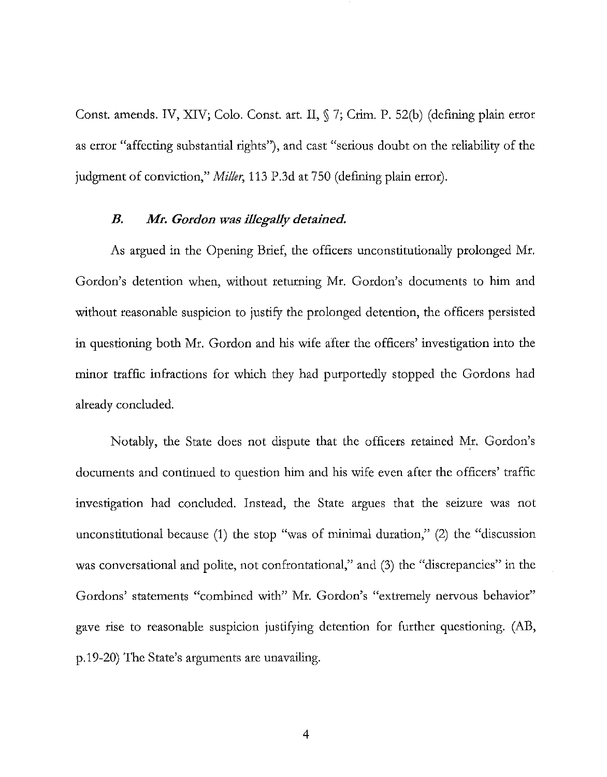Const. amends. IV, XIV; Colo. Const. art. II, § 7; Crim. P. 52(b) (defining plain error as error "affecting substantial rights"), and cast "serious doubt on the reliability of the judgment of conviction," *Miller,* 113 P.3d at 750 (defming plain error).

### *B. Mr. Gordon was illegally detained.*

As argued in the Opening Brief, the officers unconstitutionally prolonged Mr. Gordon's detention when, without returning Mr. Gordon's documents to him and without reasonable suspicion to justify the prolonged detention, the officers persisted in questioning both Mr. Gordon and his wife after the officers' investigation into the minor traffic infractions for which they had purportedly stopped the Gordons had already concluded.

Notably, the State does not dispute that the officers retained Mr. Gordon's documents and continued to question him and his wife even after the officers' traffic investigation had concluded. Instead, the State argues that the seizure was not unconstitutional because (1) the stop "was of minimal duration," (2) the "discussion was conversational and polite, not confrontational," and (3) the "discrepancies" in the Gordons' statements "combined with" Mr. Gordon's "extremely nervous behavior" gave rise to reasonable suspicion justifying detention for further questioning. (AB, p.19-20) The State's arguments are unavailing.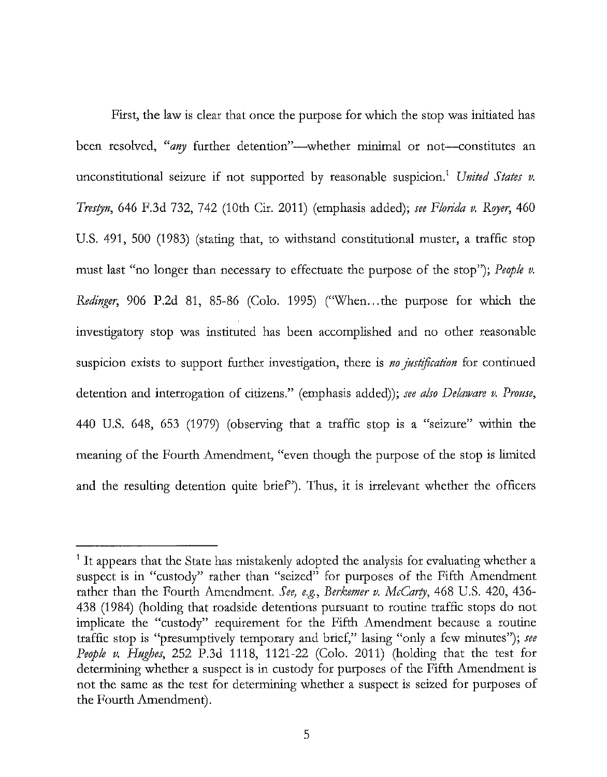First, the law is clear that once the purpose for which the stop was initiated has been resolved, "*any* further detention"—whether minimal or not-constitutes an unconstitutional seizure if not supported by reasonable suspicion.<sup>1</sup> United States v. *Tresryn,* 646 F.3d 732, 742 (10th Cir. 2011) (emphasis added); *see Florida v. Rqyer,* 460 U.S. 491, 500 (1983) (stating that, to withstand constitutional muster, a traffic stop must last "no longer than necessary to effectuate the purpose of the stop"); *People v. Redinger,* 906 P.2d 81, 85-86 (Colo. 1995) ("When ... the purpose for which the investigatory stop was instituted has been accomplished and no other reasonable suspicion exists to support further investigation, there is *no justification* for continued detention and interrogation of citizens." (emphasis added)); *see also Delaware v. Prouse,*  440 U.S. 648, 653 (1979) (observing that a traffic stop is a "seizure" within the meaning of the Fourth Amendment, "even though the purpose of the stop is limited and the resulting detention quite brief'). Thus, it is irrelevant whether the officers

 $<sup>1</sup>$  It appears that the State has mistakenly adopted the analysis for evaluating whether a</sup> suspect is in "custody" rather than "seized" for purposes of the Fifth Amendment rather than the Fourth Amendment. *See, e.g., Berkemer v. McCarry,* 468 U.S. 420, 436- 438 (1984) (holding that roadside detentions pursuant to routine traffic stops do not implicate the "custody" requirement for the Fifth Amendment because a routine traffic stop is "presumptively temporary and brief," lasing "only a few minutes"); *see People v. Hughes,* 252 P.3d 1118, 1121-22 (Colo. 2011) (holding that the test for determining whether a suspect is in custody for purposes of the Fifth Amendment is not the same as the test for determining whether a suspect is seized for purposes of the Fourth Amendment).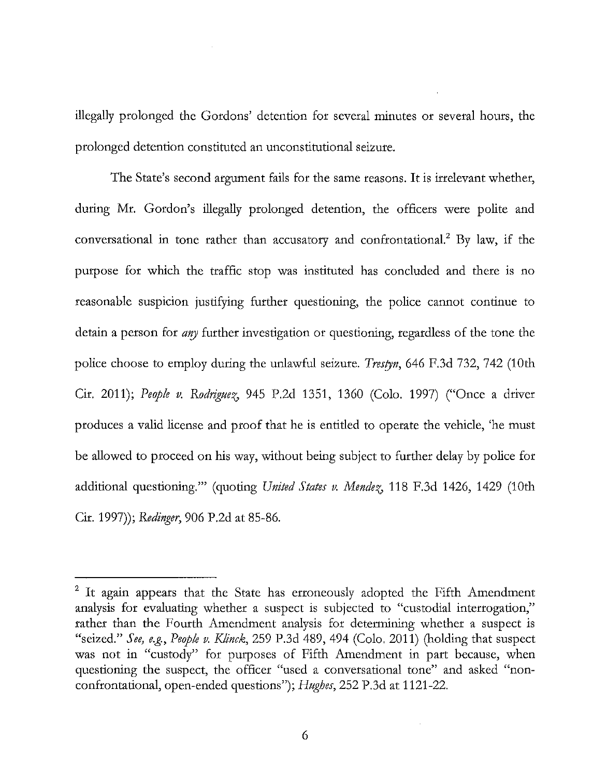illegally prolonged the Gordons' detention for several minutes or several hours, the prolonged detention constituted an unconstitutional seizure.

The State's second argument fails for the same reasons. It is irrelevant whether, during Mr. Gordon's illegally prolonged detention, the officers were polite and conversational in tone rather than accusatory and confrontational.<sup>2</sup> By law, if the purpose for which the traffic stop was instituted has concluded and there is no reasonable suspicion justifying further questioning, the police cannot continue to detain a person for *any* further investigation or questioning, regardless of the tone the police choose to employ during the unlawful seizure. *Trestyn,* 646 F.3d 732, 742 (10th Cir. 2011); *People v. Rodriguez*, 945 P.2d 1351, 1360 (Colo. 1997) ("Once a driver produces a valid license and proof that he is entitled to operate the vehicle, 'he must be allowed to proceed on his way, without being subject to further delay by police for additional questioning."" (quoting *United States v. Mendez*, 118 F.3d 1426, 1429 (10th Cir. 1997»; *Redinger,* 906 P.2d at 85-86.

<sup>&</sup>lt;sup>2</sup> It again appears that the State has erroneously adopted the Fifth Amendment analysis for evaluating whether a suspect is subjected to "custodial interrogation," rather than the Fourth Amendment analysis for determining whether a suspect is "seized." *See, e.g., People v. Klinck,* 259 P.3d 489, 494 (Colo. 2011) (holding that suspect was not in "custody" for purposes of Fifth Amendment in part because, when questioning the suspect, the officer "used a conversational tone" and asked "nonconfrontational, open-ended questions"); *Hughes,* 252 P.3d at 1121-22.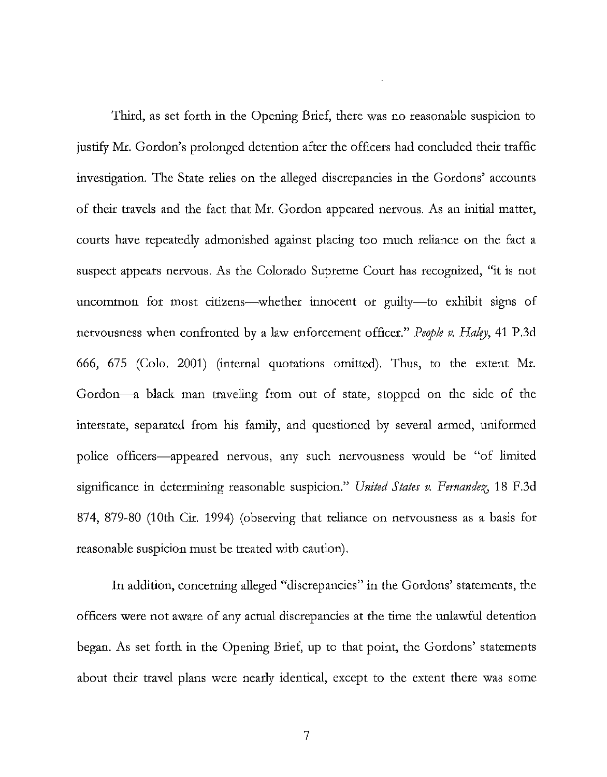Third, as set forth in the Opening Brief, there was no reasonable suspicion to justify Mr. Gordon's prolonged detention after the officers had concluded their traffic investigation. The State relies on the alleged discrepancies in the Gordons' accounts of their travels and the fact that Mr. Gordon appeared nervous. As an initial matter, courts have repeatedly admonished against placing too much reliance on the fact a suspect appears nervous. As the Colorado Supreme Court has recognized, "it is not uncommon for most citizens—whether innocent or guilty—to exhibit signs of nervousness when confronted by a law enforcement officer." *People v. HaIry,* 41 P.3d 666, 675 (Colo. 2001) (internal quotations omitted). Thus, to the extent Mr. Gordon-a black man traveling from out of state, stopped on the side of the interstate, separated from his family, and questioned by several armed, uniformed police officers-appeared nervous, any such nervousness would be "of limited significance in determining reasonable suspicion." *United States v. Fernandez*, 18 F.3d 874, 879-80 (10th Cir. 1994) (observing that reliance on nervousness as a basis for reasonable suspicion must be treated with caution).

In addition, concerning alleged "discrepancies" in the Gordons' statements, the officers were not aware of any actual discrepancies at the time the unlawful detention began. As set forth in the Opening Brief, up to that point, the Gordons' statements about their travel plans were nearly identical, except to the extent there was some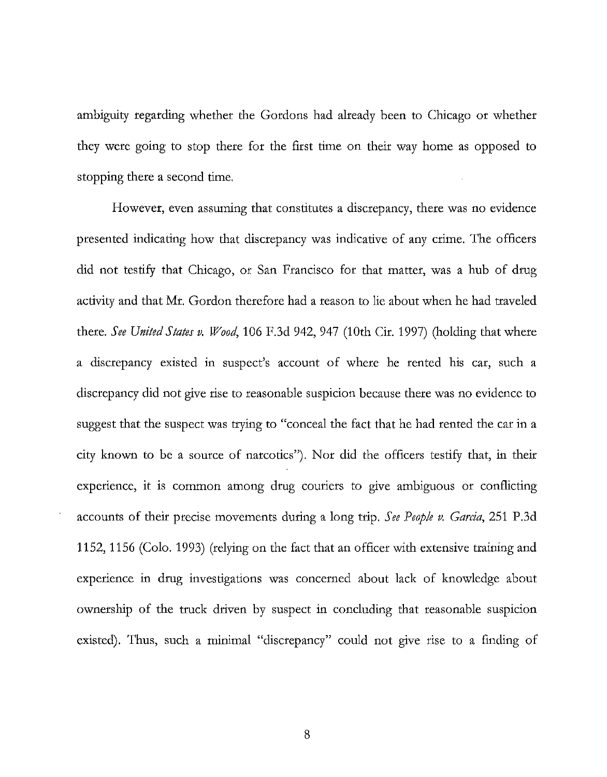ambiguity regarding whether the Gordons had already been to Chicago or whether they were going to stop there for the first time on their way home as opposed to stopping there a second time.

However, even assuming that constitutes a discrepancy, there was no evidence presented indicating how that discrepancy was indicative of any crime. The officers did not testify that Chicago, or San Francisco for that matter, was a hub of drug activity and that Mr. Gordon therefore had a reason to lie about when he had traveled there. *See United States v. Wood,* 106 F.3d 942, 947 (10th Cir. 1997) (holding that where a discrepancy existed in suspect's account of where he rented his car, such a discrepancy did not give rise to reasonable suspicion because there was no evidence to suggest that the suspect was trying to "conceal the fact that he had rented the car in a city known to be a source of narcotics"). Nor did the officers testify that, in their experience, it is common among drug couriers to give ambiguous or conflicting accounts of their precise movements during a long trip. *See People v. Garcia,* 251 P.3d 1152,1156 (Colo. 1993) (relying on the fact that an officer with extensive training and experience in drug investigations was concerned about lack of knowledge about ownership of the truck driven by suspect in concluding that reasonable suspicion existed). Thus, such a minimal "discrepancy" could not give rise to a finding of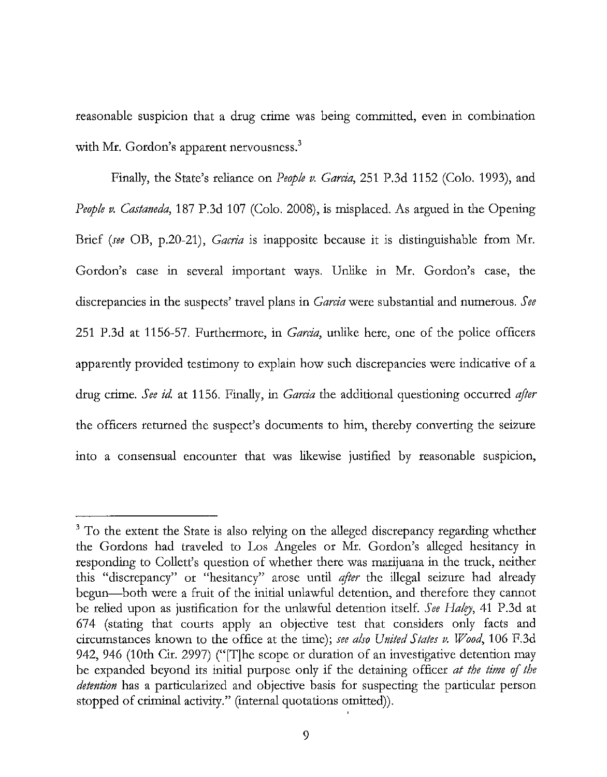reasonable suspicion that a drug crime was being committed, even in combination with Mr. Gordon's apparent nervousness.<sup>3</sup>

Finally, the State's reliance on *People v. Garcia,* 251 P.3d 1152 (Colo. 1993), and *People v. Castaneda,* 187 P.3d 107 (Colo. 2008), is misplaced. As argued in the Opening Brief *(see* OB, p.20-21), *Gacria* is inapposite because it is distinguishable from Mr. Gordon's case in several important ways. Unlike in Mr. Gordon's case, the discrepancies in the suspects' travel plans in *Garcia* were substantial and numerous. *See*  251 P.3d at 1156-57. Furthermore, in *Garcia,* unlike here, one of the police officers apparently provided testimony to explain how such discrepancies were indicative of a drug crime. *See id.* at 1156. Finally, in *Garcia* the additional questioning occurred *after*  the officers returned the suspect's documents to him, thereby converting the seizure into a consensual encounter that was likewise justified by reasonable suspicion,

<sup>&</sup>lt;sup>3</sup> To the extent the State is also relying on the alleged discrepancy regarding whether the Gordons had traveled to Los Angeles or Mr. Gordon's alleged hesitancy in responding to Collett's question of whether there was marijuana in the truck, neither this "discrepancy" or "hesitancy" arose until *after* the illegal seizure had already begun-both were a fruit of the initial unlawful detention, and therefore they cannot be relied upon as justification for the unlawful detention itself. *See Haley*, 41 P.3d at 674 (stating that courts apply an objective test that considers only facts and circumstances known to the office at the time); *see also United States v. Wood,* 106 F.3d 942, 946 (10th Cir. 2997) ("[T]he scope or duration of an investigative detention may be expanded beyond its initial purpose only if the detaining officer *at the time of the detention* has a particularized and objective basis for suspecting the particular person stopped of criminal activity." (internal quotations omitted)).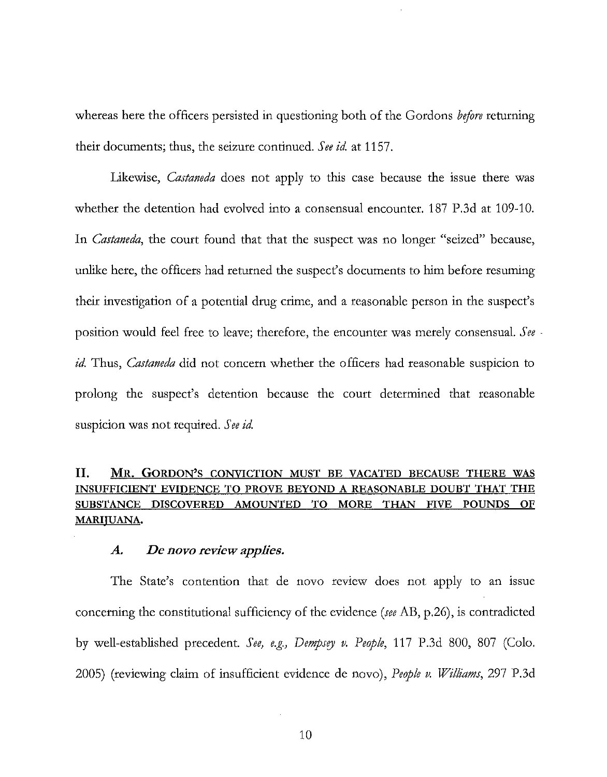whereas here the officers persisted in questioning both of the Gordons *before* returning their documents; thus, the seizure continued. *See id* at 1157.

Likewise, *Castaneda* does not apply to this case because the issue there was whether the detention had evolved into a consensual encounter. 187 P.3d at 109-10. In *Castaneda,* the court found that that the suspect was no longer "seized" because, unlike here, the officers had returned the suspect's documents to him before resuming their investigation of a potential drug crime, and a reasonable person in the suspect's position would feel free to leave; therefore, the encounter was merely consensuaL *See·*  id. Thus, *Castaneda* did not concern whether the officers had reasonable suspicion to prolong the suspect's detention because the court determined that reasonable suspicion was not required. *See id* 

### II. MR. GORDON'S CONVICTION MUST BE VACATED BECAUSE THERE WAS INSUFFICIENT EVIDENCE TO PROVE BEYOND A REASONABLE DOUBT THAT THE SUBSTANCE DISCOVERED AMOUNTED TO MORE THAN FIVE POUNDS OF MARIJUANA.

#### *A. De novo review applies.*

The State's contention that de novo review does not apply to an issue concerning the constitutional sufficiency of the evidence *(see* AB, p.26), is contradicted by well-established precedent. See, e.g., Dempsey v. People, 117 P.3d 800, 807 (Colo. 2005) (reviewing claim of insufficient evidence de novo), *People v. Williams,* 297 P.3d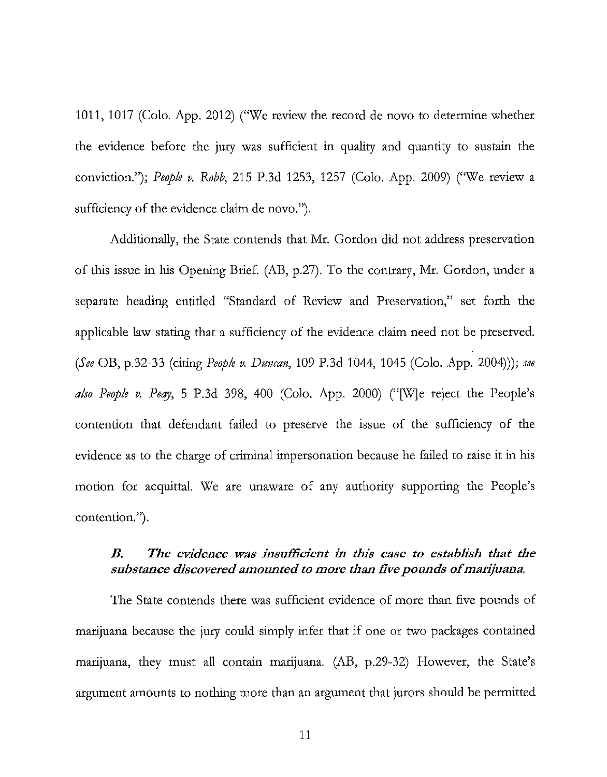1011,1017 (Colo. App. 2012) ("We review the record de novo to determine whether the evidence before the jury was sufficient in quality and quantity to sustain the conviction."); *People v. Robb*, 215 P.3d 1253, 1257 (Colo. App. 2009) ("We review a sufficiency of the evidence claim de novo.").

Additionally, the State contends that Mr. Gordon did not address preservation of this issue in his Opening Brief. (AB, p.27). To the contrary, Mr. Gordon, under a separate heading entitled "Standard of Review and Preservation," set forth the applicable law stating that a sufficiency of the evidence claim need not be preserved. *(See* OB, p.32-33 (citing *People v. Duncan,* 109 P.3d 1044, 1045 (Colo. App. 2004))); *see also People v. Peay*, 5 P.3d 398, 400 (Colo. App. 2000) ("[W]e reject the People's contention that defendant failed to preserve the issue of the sufficiency of the evidence as to the charge of criminal impersonation because he failed to raise it in his motion for acquittal. We are unaware of any authority supporting the People's contention.").

### B. The evidence was insufficient in this case to establish that the *substance discovered amounted to more than five pounds of marijuana.*

The State contends there was sufficient evidence of more than five pounds of marijuana because the jury could simply infer that if one or two packages contained marijuana, they must all contain marijuana. (AB, p.29-32) However, the State's argument amounts to nothing more than an argument that jurors should be permitted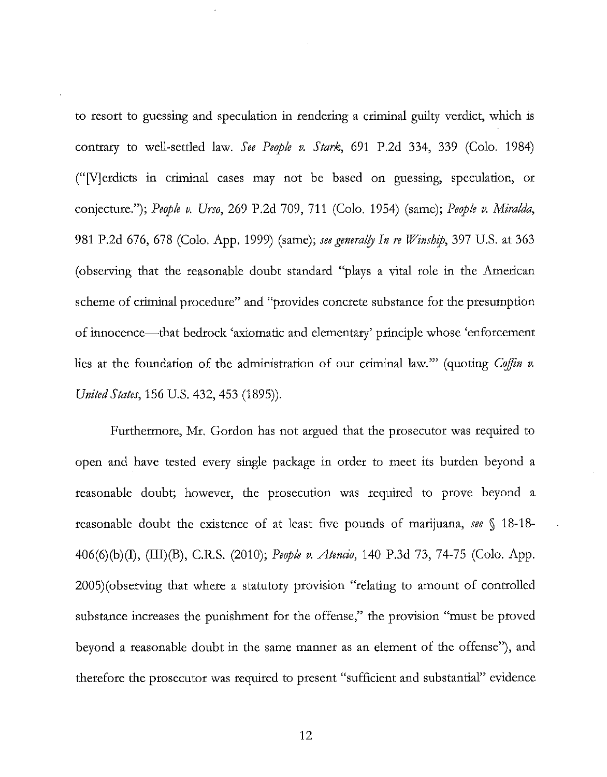to resort to guessing and speculation in rendering a criminal guilty verdict, which is contrary to well-settled law. *See People v. Stark,* 691 P.2d 334, 339 (Colo. 1984) ("Merdicts in criminal cases may not be based on guessing, speculation, or conjecture."); *People v. Urso,* 269 P.2d 709, 711 (Colo. 1954) (same); *People v. Miralda,*  981 P.2d 676, 678 (Colo. App. 1999) (same); *seegeneralfy In re Winship,* 397 U.S. at 363 (observing that the reasonable doubt standard "plays a vital role in the American scheme of criminal procedure" and "provides concrete substance for the presumption of innocence-that bedrock 'axiomatic and elementary' principle whose 'enforcement lies at the foundation of the administration of our criminal law." (quoting *Coffin v. United States,* 156 U.S. 432, 453 (1895)).

Furthermore, Mr. Gordon has not argued that the prosecutor was required to open and have tested every single package in order to meet its burden beyond a reasonable doubt; however, the prosecution was required to prove beyond a reasonable doubt the existence of at least five pounds of marijuana, *see* § 18-18- 406(6)(b)(I), (III)(B), c.R.S. (2010); *People v. Atencio,* 140 P.3d 73, 74-75 (Colo. App. 2005)(observing that where a statutory provision "relating to amount of controlled substance increases the punishment for the offense," the provision "must be proved beyond a reasonable doubt in the same manner as an element of the offense"), and therefore the prosecutor was required to present "sufficient and substantial" evidence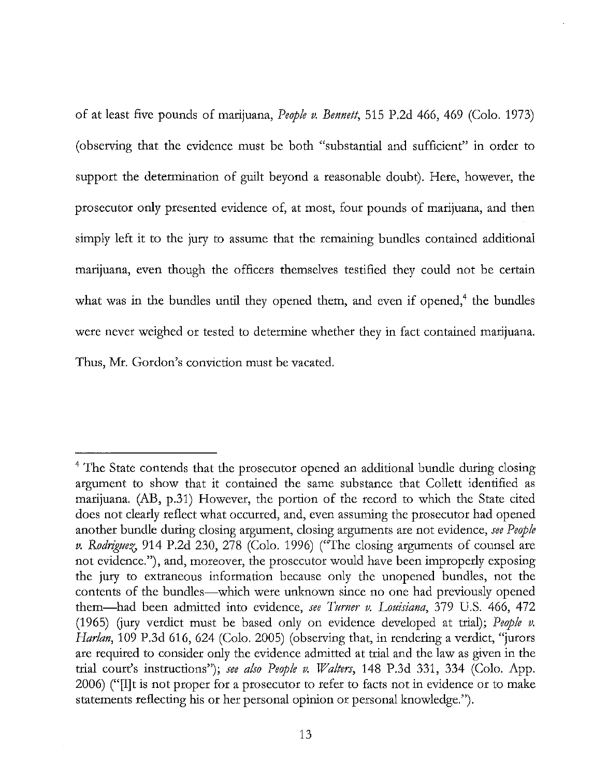of at least five pounds of marijuana, *People v. Bennett,* 515 P.2d 466, 469 (Colo. 1973) (observing that the evidence must be both "substantial and sufficient" in order to support the determination of guilt beyond a reasonable doubt). Here, however, the prosecutor only presented evidence of, at most, four pounds of marijuana, and then simply left it to the jury to assume that the remaining bundles contained additional marijuana, even though the officers themselves testified they could not be certain what was in the bundles until they opened them, and even if opened, $4$  the bundles were never weighed or tested to determine whether they in fact contained marijuana. Thus, Mr. Gordon's conviction must be vacated.

<sup>&</sup>lt;sup>4</sup> The State contends that the prosecutor opened an additional bundle during closing argument to show that it contained the same substance that Collett identified as marijuana. (AB, p.31) However, the portion of the record to which the State cited does not clearly reflect what occurred, and, even assuming the prosecutor had opened another bundle during closing argument, closing arguments are not evidence, *see People v. Rodriguez*, 914 P.2d 230, 278 (Colo. 1996) ("The closing arguments of counsel are not evidence."), and, moreover, the prosecutor would have been improperly exposing the jury to extraneous information because only the unopened bundles, not the contents of the bundles—which were unknown since no one had previously opened them-had been admitted into evidence, *see Turner v. Louisiana,* 379 U.S. 466, 472 (1965) Gury verdict must be based only on evidence developed at trial); *People v. Harlan*, 109 P.3d 616, 624 (Colo. 2005) (observing that, in rendering a verdict, "jurors are required to consider only the evidence admitted at trial and the law as given in the trial court's instructions"); *see also People v. Walters,* 148 P.3d 331, 334 (Colo. App. 2006) ("[1]t is not proper for a prosecutor to refer to facts not in evidence or to make statements reflecting his or her personal opinion or personal knowledge.").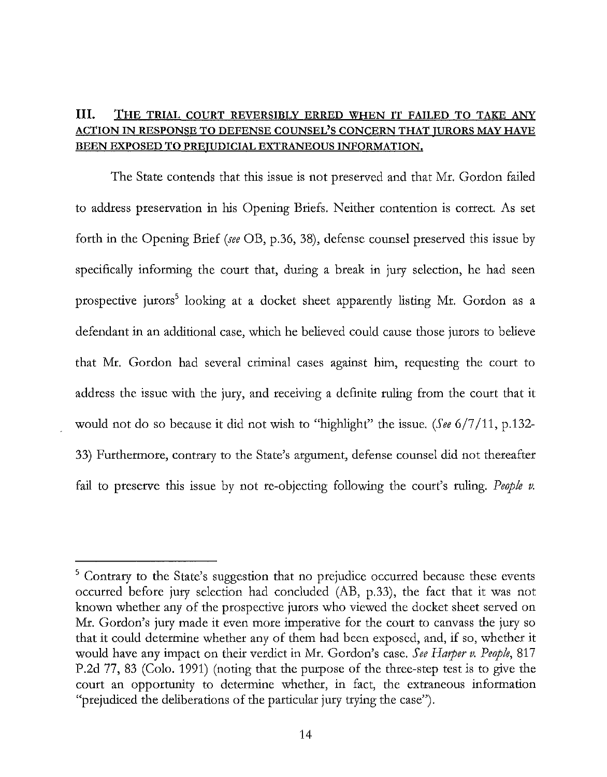### **III.** THE TRIAL COURT REVERSIBLY ERRED WHEN IT FAILED TO TAKE ANY ACTION IN RESPONSE TO DEFENSE COUNSEL'S CONCERN THAT JURORS MAY HAVE BEEN EXPOSED TO PREJUDICIAL EXTRANEOUS INFORMATION.

The State contends that this issue is not preserved and that Mr. Gordon failed to address preservation in his Opening Briefs. Neither contention is correct. As set forth in the Opening Brief *(see* OB, p.36, 38), defense counsel preserved this issue by specifically informing the court that, during a break in jury selection, he had seen prospective jurors<sup>5</sup> looking at a docket sheet apparently listing Mr. Gordon as a defendant in an additional case, which he believed could cause those jurors to believe that Mr. Gordon had several criminal cases against him, requesting the court to address the issue with the jury, and receiving a definite ruling from the court that it would not do so because it did not wish to "highlight" the issue. *(See* 6/7/11, p.132- 33) Furthermore, contrary to the State's argument, defense counsel did not thereafter fail to preserve this issue by not re-objecting following the court's ruling. *People v.* 

<sup>5</sup> Contrary to the State's suggestion that no prejudice occurred because these events occurred before jury selection had concluded (AB, p.33), the fact that it was not known whether any of the prospective jurors who viewed the docket sheet served on Mr. Gordon's jury made it even more imperative for the court to canvass the jury so that it could determine whether any of them had been exposed, and, if so, whether it would have any impact on their verdict in Mr. Gordon's case. *See Harper v. People, 817*  P.2d 77, 83 (Colo. 1991) (noting that the purpose of the three-step test is to give the court an opportunity to determine whether, in fact, the extraneous information "prejudiced the deliberations of the particular jury trying the case").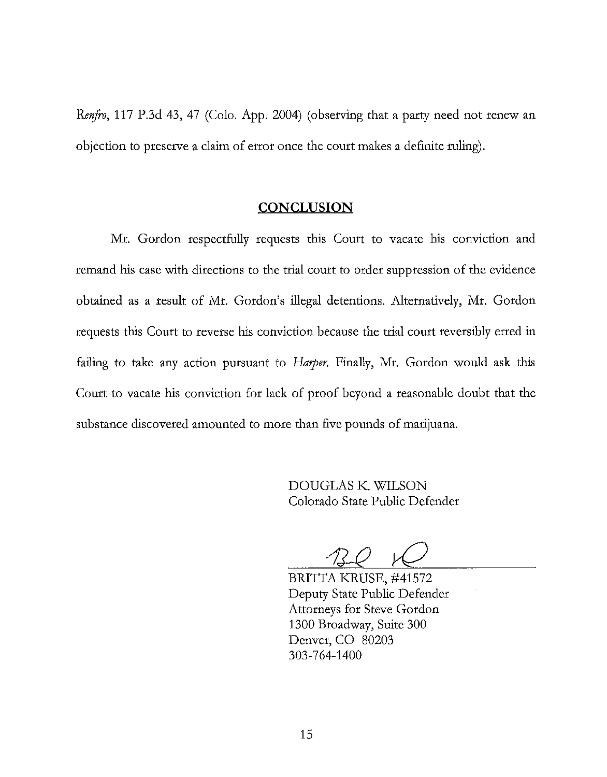*Renfro,* 117 P.3d 43, 47 (Colo. App. 2004) (observing that a party need not renew an objection to preserve a claim of error once the court makes a definite ruling).

#### **CONCLUSION**

Mr. Gordon respectfully requests this Court to vacate his conviction and remand his case with directions to the trial court to order suppression of the evidence obtained as a result of Mr. Gordon's illegal detentions. Alternatively, Mr. Gordon requests this Court to reverse his conviction because the trial court reversibly erred in failing to take any action pursuant to *Harper*. Finally, Mr. Gordon would ask this Court to vacate his conviction for lack of proof beyond a reasonable doubt that the substance discovered amounted to more than five pounds of marijuana.

> DOUGLAS K. WILSON Colorado State Public Defender

BRITTA KRUSE, #41572 Deputy State Public Defender Attorneys for Steve Gordon 1300 Broadway, Suite 300 Denver, CO 80203 303-764-1400